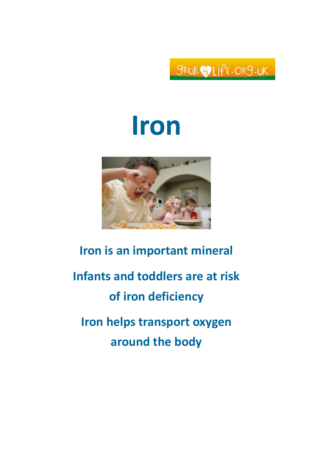SRUBOLIFE.OR9.UK

# Iron



## Iron is an important mineral Infants and toddlers are at risk of iron deficiency Iron helps transport oxygen around the body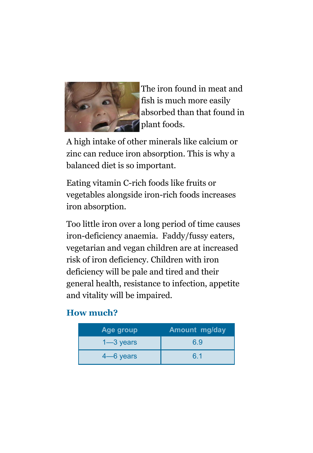

The iron found in meat and fish is much more easily absorbed than that found in plant foods.

A high intake of other minerals like calcium or zinc can reduce iron absorption. This is why a balanced diet is so important.

Eating vitamin C-rich foods like fruits or vegetables alongside iron-rich foods increases iron absorption.

Too little iron over a long period of time causes iron-deficiency anaemia. Faddy/fussy eaters, vegetarian and vegan children are at increased risk of iron deficiency. Children with iron deficiency will be pale and tired and their general health, resistance to infection, appetite and vitality will be impaired.

#### How much?

| Age group     | <b>Amount mg/day</b> |
|---------------|----------------------|
| $1 - 3$ years | 6.9                  |
| $4 - 6$ years | 6.1                  |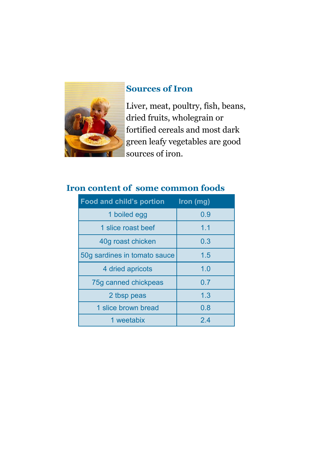

#### Sources of Iron

Liver, meat, poultry, fish, beans, dried fruits, wholegrain or fortified cereals and most dark green leafy vegetables are good sources of iron.

### Iron content of some common foods

| Food and child's portion     | Iron (mg) |
|------------------------------|-----------|
| 1 boiled egg                 | 0.9       |
| 1 slice roast beef           | 1.1       |
| 40g roast chicken            | 0.3       |
| 50g sardines in tomato sauce | 1.5       |
| 4 dried apricots             | 1.0       |
| 75g canned chickpeas         | 0.7       |
| 2 tbsp peas                  | 1.3       |
| 1 slice brown bread          | 0.8       |
| 1 weetabix                   | 24        |